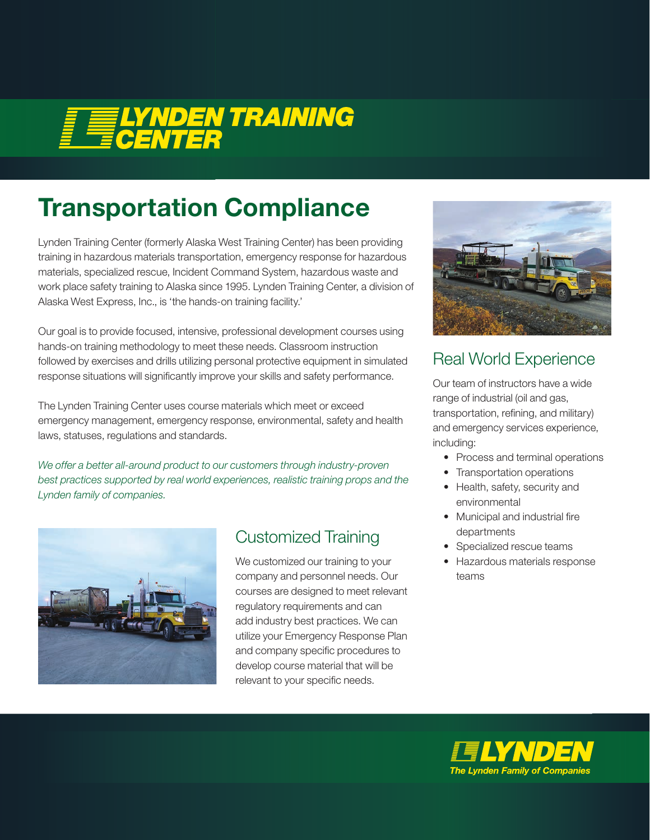# E ELYNDEN TRAINING

# Transportation Compliance

Lynden Training Center (formerly Alaska West Training Center) has been providing training in hazardous materials transportation, emergency response for hazardous materials, specialized rescue, Incident Command System, hazardous waste and work place safety training to Alaska since 1995. Lynden Training Center, a division of Alaska West Express, Inc., is 'the hands-on training facility.'

Our goal is to provide focused, intensive, professional development courses using hands-on training methodology to meet these needs. Classroom instruction followed by exercises and drills utilizing personal protective equipment in simulated response situations will significantly improve your skills and safety performance.

The Lynden Training Center uses course materials which meet or exceed emergency management, emergency response, environmental, safety and health laws, statuses, regulations and standards.

*We offer a better all-around product to our customers through industry-proven best practices supported by real world experiences, realistic training props and the Lynden family of companies.*



#### Customized Training

We customized our training to your company and personnel needs. Our courses are designed to meet relevant regulatory requirements and can add industry best practices. We can utilize your Emergency Response Plan and company specific procedures to develop course material that will be relevant to your specific needs.



#### Real World Experience

Our team of instructors have a wide range of industrial (oil and gas, transportation, refining, and military) and emergency services experience, including:

- Process and terminal operations
- Transportation operations
- Health, safety, security and environmental
- Municipal and industrial fire departments
- Specialized rescue teams
- Hazardous materials response teams